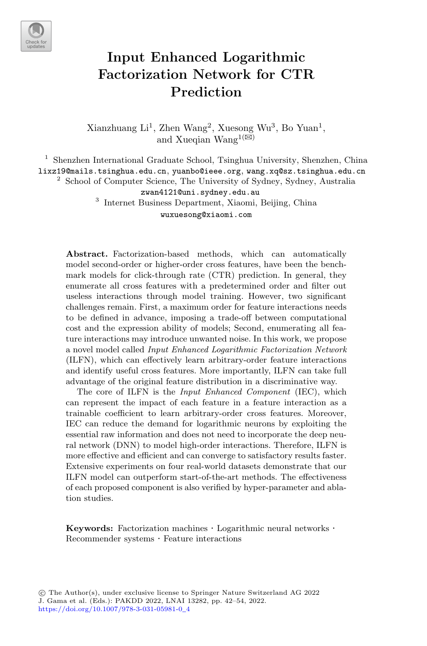

# **Input Enhanced Logarithmic Factorization Network for CTR Prediction**

Xianzhuang Li<sup>1</sup>, Zhen Wang<sup>2</sup>, Xuesong Wu<sup>3</sup>, Bo Yuan<sup>1</sup>, and Xueqian Wang<sup>1( $\boxtimes$ )</sup>

<sup>1</sup> Shenzhen International Graduate School, Tsinghua University, Shenzhen, China lixz19@mails.tsinghua.edu.cn, yuanbo@ieee.org, wang.xq@sz.tsinghua.edu.cn <sup>2</sup> School of Computer Science, The University of Sydney, Sydney, Australia zwan4121@uni.sydney.edu.au <sup>3</sup> Internet Business Department, Xiaomi, Beijing, China wuxuesong@xiaomi.com

**Abstract.** Factorization-based methods, which can automatically model second-order or higher-order cross features, have been the benchmark models for click-through rate (CTR) prediction. In general, they enumerate all cross features with a predetermined order and filter out useless interactions through model training. However, two significant challenges remain. First, a maximum order for feature interactions needs to be defined in advance, imposing a trade-off between computational cost and the expression ability of models; Second, enumerating all feature interactions may introduce unwanted noise. In this work, we propose a novel model called *Input Enhanced Logarithmic Factorization Network* (ILFN), which can effectively learn arbitrary-order feature interactions and identify useful cross features. More importantly, ILFN can take full advantage of the original feature distribution in a discriminative way.

The core of ILFN is the *Input Enhanced Component* (IEC), which can represent the impact of each feature in a feature interaction as a trainable coefficient to learn arbitrary-order cross features. Moreover, IEC can reduce the demand for logarithmic neurons by exploiting the essential raw information and does not need to incorporate the deep neural network (DNN) to model high-order interactions. Therefore, ILFN is more effective and efficient and can converge to satisfactory results faster. Extensive experiments on four real-world datasets demonstrate that our ILFN model can outperform start-of-the-art methods. The effectiveness of each proposed component is also verified by hyper-parameter and ablation studies.

**Keywords:** Factorization machines  $\cdot$  Logarithmic neural networks  $\cdot$  Recommender systems  $\cdot$  Feature interactions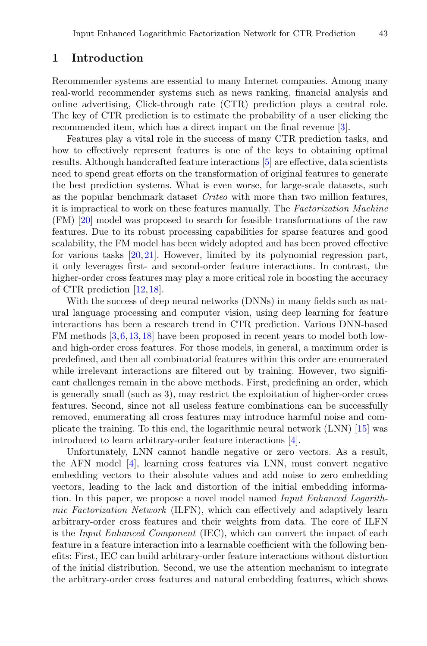## **1 Introduction**

Recommender systems are essential to many Internet companies. Among many real-world recommender systems such as news ranking, financial analysis and online advertising, Click-through rate (CTR) prediction plays a central role. The key of CTR prediction is to estimate the probability of a user clicking the recommended item, which has a direct impact on the final revenue [\[3](#page-11-0)].

Features play a vital role in the success of many CTR prediction tasks, and how to effectively represent features is one of the keys to obtaining optimal results. Although handcrafted feature interactions [\[5\]](#page-12-0) are effective, data scientists need to spend great efforts on the transformation of original features to generate the best prediction systems. What is even worse, for large-scale datasets, such as the popular benchmark dataset *Criteo* with more than two million features, it is impractical to work on these features manually. The *Factorization Machine* (FM) [\[20](#page-12-1)] model was proposed to search for feasible transformations of the raw features. Due to its robust processing capabilities for sparse features and good scalability, the FM model has been widely adopted and has been proved effective for various tasks [\[20,](#page-12-1)[21\]](#page-12-2). However, limited by its polynomial regression part, it only leverages first- and second-order feature interactions. In contrast, the higher-order cross features may play a more critical role in boosting the accuracy of CTR prediction [\[12,](#page-12-3)[18](#page-12-4)].

With the success of deep neural networks (DNNs) in many fields such as natural language processing and computer vision, using deep learning for feature interactions has been a research trend in CTR prediction. Various DNN-based FM methods [\[3](#page-11-0),[6,](#page-12-5)[13,](#page-12-6)[18](#page-12-4)] have been proposed in recent years to model both lowand high-order cross features. For those models, in general, a maximum order is predefined, and then all combinatorial features within this order are enumerated while irrelevant interactions are filtered out by training. However, two significant challenges remain in the above methods. First, predefining an order, which is generally small (such as 3), may restrict the exploitation of higher-order cross features. Second, since not all useless feature combinations can be successfully removed, enumerating all cross features may introduce harmful noise and complicate the training. To this end, the logarithmic neural network (LNN) [\[15\]](#page-12-7) was introduced to learn arbitrary-order feature interactions [\[4](#page-11-1)].

Unfortunately, LNN cannot handle negative or zero vectors. As a result, the AFN model [\[4\]](#page-11-1), learning cross features via LNN, must convert negative embedding vectors to their absolute values and add noise to zero embedding vectors, leading to the lack and distortion of the initial embedding information. In this paper, we propose a novel model named *Input Enhanced Logarithmic Factorization Network* (ILFN), which can effectively and adaptively learn arbitrary-order cross features and their weights from data. The core of ILFN is the *Input Enhanced Component* (IEC), which can convert the impact of each feature in a feature interaction into a learnable coefficient with the following benefits: First, IEC can build arbitrary-order feature interactions without distortion of the initial distribution. Second, we use the attention mechanism to integrate the arbitrary-order cross features and natural embedding features, which shows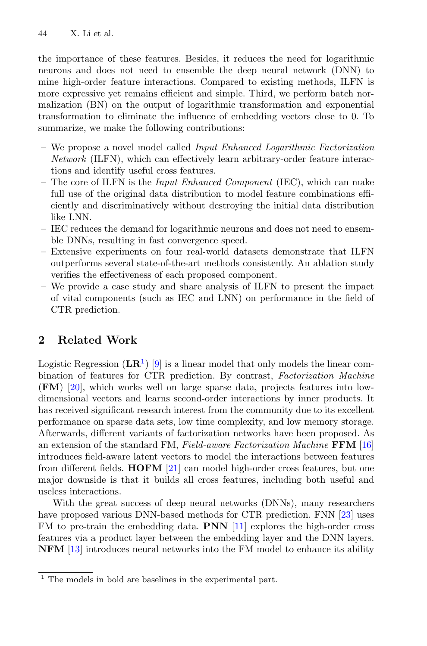the importance of these features. Besides, it reduces the need for logarithmic neurons and does not need to ensemble the deep neural network (DNN) to mine high-order feature interactions. Compared to existing methods, ILFN is more expressive yet remains efficient and simple. Third, we perform batch normalization (BN) on the output of logarithmic transformation and exponential transformation to eliminate the influence of embedding vectors close to 0. To summarize, we make the following contributions:

- We propose a novel model called *Input Enhanced Logarithmic Factorization Network* (ILFN), which can effectively learn arbitrary-order feature interactions and identify useful cross features.
- The core of ILFN is the *Input Enhanced Component* (IEC), which can make full use of the original data distribution to model feature combinations efficiently and discriminatively without destroying the initial data distribution like LNN.
- IEC reduces the demand for logarithmic neurons and does not need to ensemble DNNs, resulting in fast convergence speed.
- Extensive experiments on four real-world datasets demonstrate that ILFN outperforms several state-of-the-art methods consistently. An ablation study verifies the effectiveness of each proposed component.
- We provide a case study and share analysis of ILFN to present the impact of vital components (such as IEC and LNN) on performance in the field of CTR prediction.

## **2 Related Work**

Logistic Regression  $(LR^1)$  $(LR^1)$  $(LR^1)$  [\[9\]](#page-12-8) is a linear model that only models the linear combination of features for CTR prediction. By contrast, *Factorization Machine* (**FM**) [\[20](#page-12-1)], which works well on large sparse data, projects features into lowdimensional vectors and learns second-order interactions by inner products. It has received significant research interest from the community due to its excellent performance on sparse data sets, low time complexity, and low memory storage. Afterwards, different variants of factorization networks have been proposed. As an extension of the standard FM, *Field-aware Factorization Machine* **FFM** [\[16](#page-12-9)] introduces field-aware latent vectors to model the interactions between features from different fields. **HOFM** [\[21](#page-12-2)] can model high-order cross features, but one major downside is that it builds all cross features, including both useful and useless interactions.

With the great success of deep neural networks (DNNs), many researchers have proposed various DNN-based methods for CTR prediction. FNN [\[23](#page-12-10)] uses FM to pre-train the embedding data. **PNN** [\[11](#page-12-11)] explores the high-order cross features via a product layer between the embedding layer and the DNN layers. **NFM** [\[13](#page-12-6)] introduces neural networks into the FM model to enhance its ability

<span id="page-2-0"></span> $1$  The models in bold are baselines in the experimental part.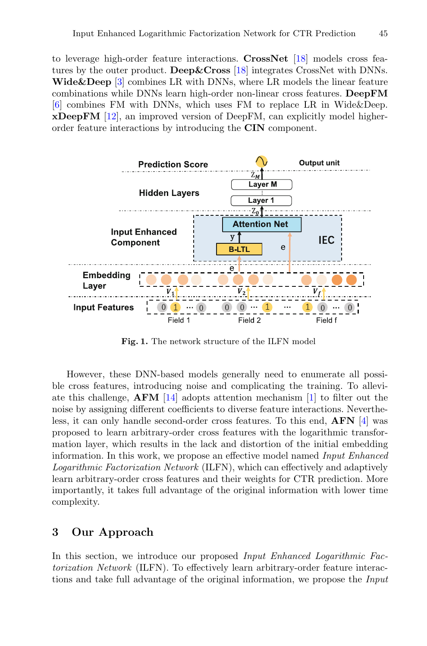to leverage high-order feature interactions. **CrossNet** [\[18\]](#page-12-4) models cross features by the outer product. **Deep&Cross** [\[18](#page-12-4)] integrates CrossNet with DNNs. **Wide&Deep** [\[3\]](#page-11-0) combines LR with DNNs, where LR models the linear feature combinations while DNNs learn high-order non-linear cross features. **DeepFM** [\[6](#page-12-5)] combines FM with DNNs, which uses FM to replace LR in Wide&Deep. **xDeepFM** [\[12\]](#page-12-3), an improved version of DeepFM, can explicitly model higherorder feature interactions by introducing the **CIN** component.



<span id="page-3-0"></span>**Fig. 1.** The network structure of the ILFN model

However, these DNN-based models generally need to enumerate all possible cross features, introducing noise and complicating the training. To alleviate this challenge, **AFM** [\[14\]](#page-12-12) adopts attention mechanism [\[1](#page-11-2)] to filter out the noise by assigning different coefficients to diverse feature interactions. Nevertheless, it can only handle second-order cross features. To this end, **AFN** [\[4](#page-11-1)] was proposed to learn arbitrary-order cross features with the logarithmic transformation layer, which results in the lack and distortion of the initial embedding information. In this work, we propose an effective model named *Input Enhanced Logarithmic Factorization Network* (ILFN), which can effectively and adaptively learn arbitrary-order cross features and their weights for CTR prediction. More importantly, it takes full advantage of the original information with lower time complexity.

#### **3 Our Approach**

In this section, we introduce our proposed *Input Enhanced Logarithmic Factorization Network* (ILFN). To effectively learn arbitrary-order feature interactions and take full advantage of the original information, we propose the *Input*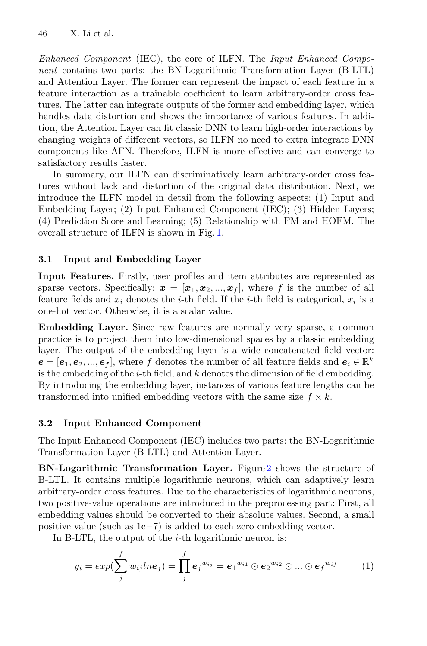*Enhanced Component* (IEC), the core of ILFN. The *Input Enhanced Component* contains two parts: the BN-Logarithmic Transformation Layer (B-LTL) and Attention Layer. The former can represent the impact of each feature in a feature interaction as a trainable coefficient to learn arbitrary-order cross features. The latter can integrate outputs of the former and embedding layer, which handles data distortion and shows the importance of various features. In addition, the Attention Layer can fit classic DNN to learn high-order interactions by changing weights of different vectors, so ILFN no need to extra integrate DNN components like AFN. Therefore, ILFN is more effective and can converge to satisfactory results faster.

In summary, our ILFN can discriminatively learn arbitrary-order cross features without lack and distortion of the original data distribution. Next, we introduce the ILFN model in detail from the following aspects: (1) Input and Embedding Layer; (2) Input Enhanced Component (IEC); (3) Hidden Layers; (4) Prediction Score and Learning; (5) Relationship with FM and HOFM. The overall structure of ILFN is shown in Fig. [1.](#page-3-0)

## **3.1 Input and Embedding Layer**

**Input Features.** Firstly, user profiles and item attributes are represented as sparse vectors. Specifically:  $x = [x_1, x_2, ..., x_f]$ , where f is the number of all feature fields and  $x_i$  denotes the *i*-th field. If the *i*-th field is categorical,  $x_i$  is a one-hot vector. Otherwise, it is a scalar value.

**Embedding Layer.** Since raw features are normally very sparse, a common practice is to project them into low-dimensional spaces by a classic embedding layer. The output of the embedding layer is a wide concatenated field vector:  $e = [e_1, e_2, ..., e_f]$ , where f denotes the number of all feature fields and  $e_i \in \mathbb{R}^k$ is the embedding of the  $i$ -th field, and  $k$  denotes the dimension of field embedding. By introducing the embedding layer, instances of various feature lengths can be transformed into unified embedding vectors with the same size  $f \times k$ .

#### **3.2 Input Enhanced Component**

The Input Enhanced Component (IEC) includes two parts: the BN-Logarithmic Transformation Layer (B-LTL) and Attention Layer.

**BN-Logarithmic Transformation Layer.** Figure [2](#page-5-0) shows the structure of B-LTL. It contains multiple logarithmic neurons, which can adaptively learn arbitrary-order cross features. Due to the characteristics of logarithmic neurons, two positive-value operations are introduced in the preprocessing part: First, all embedding values should be converted to their absolute values. Second, a small positive value (such as 1e−7) is added to each zero embedding vector.

In B-LTL, the output of the  $i$ -th logarithmic neuron is:

<span id="page-4-0"></span>
$$
y_i = exp(\sum_{j}^{f} w_{ij} ln e_j) = \prod_{j}^{f} e_j^{w_{ij}} = e_1^{w_{i1}} \odot e_2^{w_{i2}} \odot ... \odot e_f^{w_{if}} \qquad (1)
$$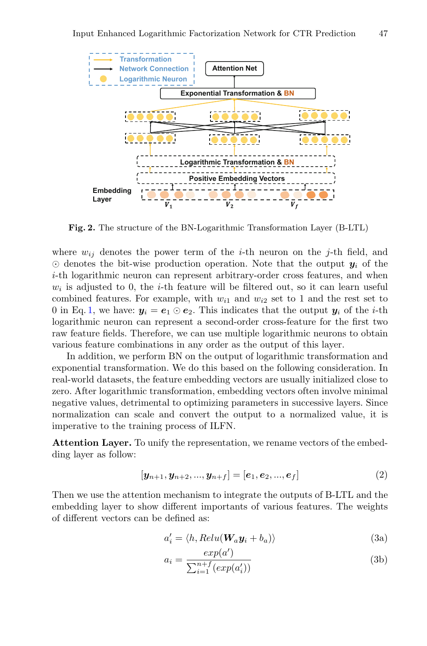

<span id="page-5-0"></span>**Fig. 2.** The structure of the BN-Logarithmic Transformation Layer (B-LTL)

where  $w_{ij}$  denotes the power term of the *i*-th neuron on the *j*-th field, and  $\odot$  denotes the bit-wise production operation. Note that the output  $\mathbf{v}_i$  of the i-th logarithmic neuron can represent arbitrary-order cross features, and when  $w_i$  is adjusted to 0, the *i*-th feature will be filtered out, so it can learn useful combined features. For example, with  $w_{i1}$  and  $w_{i2}$  set to 1 and the rest set to 0 in Eq. [1,](#page-4-0) we have:  $y_i = e_1 \odot e_2$ . This indicates that the output  $y_i$  of the *i*-th logarithmic neuron can represent a second-order cross-feature for the first two raw feature fields. Therefore, we can use multiple logarithmic neurons to obtain various feature combinations in any order as the output of this layer.

In addition, we perform BN on the output of logarithmic transformation and exponential transformation. We do this based on the following consideration. In real-world datasets, the feature embedding vectors are usually initialized close to zero. After logarithmic transformation, embedding vectors often involve minimal negative values, detrimental to optimizing parameters in successive layers. Since normalization can scale and convert the output to a normalized value, it is imperative to the training process of ILFN.

**Attention Layer.** To unify the representation, we rename vectors of the embedding layer as follow:

$$
[\mathbf{y}_{n+1}, \mathbf{y}_{n+2}, ..., \mathbf{y}_{n+f}] = [\mathbf{e}_1, \mathbf{e}_2, ..., \mathbf{e}_f]
$$
 (2)

Then we use the attention mechanism to integrate the outputs of B-LTL and the embedding layer to show different importants of various features. The weights of different vectors can be defined as:

 $\sqrt{ }$ 

$$
a_i' = \langle h, Relu(\mathbf{W}_a \mathbf{y}_i + b_a) \rangle \tag{3a}
$$

$$
a_i = \frac{exp(a')}{\sum_{i=1}^{n+f} (exp(a'_i))}
$$
(3b)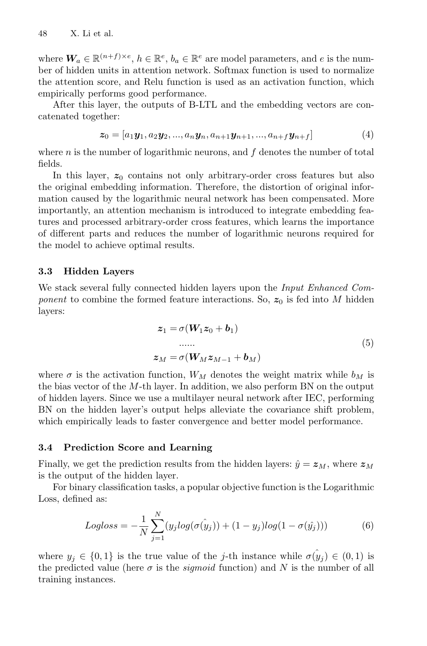where  $W_a \in \mathbb{R}^{(n+f)\times e}$ ,  $h \in \mathbb{R}^e$ ,  $b_a \in \mathbb{R}^e$  are model parameters, and e is the number of hidden units in attention network. Softmax function is used to normalize the attention score, and Relu function is used as an activation function, which empirically performs good performance.

After this layer, the outputs of B-LTL and the embedding vectors are concatenated together:

<span id="page-6-1"></span>
$$
\boldsymbol{z}_0 = [a_1 \boldsymbol{y}_1, a_2 \boldsymbol{y}_2, ..., a_n \boldsymbol{y}_n, a_{n+1} \boldsymbol{y}_{n+1}, ..., a_{n+f} \boldsymbol{y}_{n+f}] \tag{4}
$$

where  $n$  is the number of logarithmic neurons, and  $f$  denotes the number of total fields.

In this layer,  $z_0$  contains not only arbitrary-order cross features but also the original embedding information. Therefore, the distortion of original information caused by the logarithmic neural network has been compensated. More importantly, an attention mechanism is introduced to integrate embedding features and processed arbitrary-order cross features, which learns the importance of different parts and reduces the number of logarithmic neurons required for the model to achieve optimal results.

#### **3.3 Hidden Layers**

We stack several fully connected hidden layers upon the *Input Enhanced Component* to combine the formed feature interactions. So,  $z_0$  is fed into M hidden layers:

<span id="page-6-0"></span>
$$
z_1 = \sigma(W_1 z_0 + b_1)
$$
  
\n........  
\n
$$
z_M = \sigma(W_M z_{M-1} + b_M)
$$
\n(5)

where  $\sigma$  is the activation function,  $W_M$  denotes the weight matrix while  $b_M$  is the bias vector of the  $M$ -th layer. In addition, we also perform BN on the output of hidden layers. Since we use a multilayer neural network after IEC, performing BN on the hidden layer's output helps alleviate the covariance shift problem, which empirically leads to faster convergence and better model performance.

#### **3.4 Prediction Score and Learning**

Finally, we get the prediction results from the hidden layers:  $\hat{y} = z_M$ , where  $z_M$ is the output of the hidden layer.

For binary classification tasks, a popular objective function is the Logarithmic Loss, defined as:

$$
Logloss = -\frac{1}{N} \sum_{j=1}^{N} (y_j log(\sigma(y_j)) + (1 - y_j) log(1 - \sigma(y_j)))
$$
(6)

where  $y_j \in \{0,1\}$  is the true value of the j-th instance while  $\sigma(y_j) \in (0,1)$  is the predicted value (here  $\sigma$  is the *sigmoid* function) and N is the number of all training instances.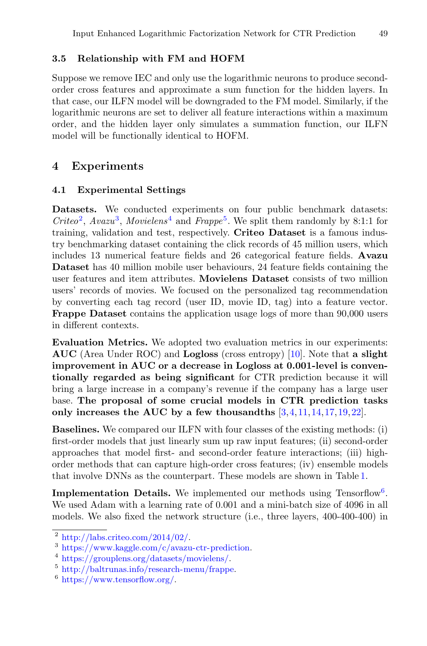#### **3.5 Relationship with FM and HOFM**

Suppose we remove IEC and only use the logarithmic neurons to produce secondorder cross features and approximate a sum function for the hidden layers. In that case, our ILFN model will be downgraded to the FM model. Similarly, if the logarithmic neurons are set to deliver all feature interactions within a maximum order, and the hidden layer only simulates a summation function, our ILFN model will be functionally identical to HOFM.

## **4 Experiments**

#### **4.1 Experimental Settings**

**Datasets.** We conducted experiments on four public benchmark datasets: *Criteo*<sup>[2](#page-7-0)</sup>, *Avazu*<sup>[3](#page-7-1)</sup>, *Movielens*<sup>[4](#page-7-2)</sup> and *Frappe*<sup>[5](#page-7-3)</sup>. We split them randomly by 8:1:1 for training, validation and test, respectively. **Criteo Dataset** is a famous industry benchmarking dataset containing the click records of 45 million users, which includes 13 numerical feature fields and 26 categorical feature fields. **Avazu Dataset** has 40 million mobile user behaviours, 24 feature fields containing the user features and item attributes. **Movielens Dataset** consists of two million users' records of movies. We focused on the personalized tag recommendation by converting each tag record (user ID, movie ID, tag) into a feature vector. **Frappe Dataset** contains the application usage logs of more than 90,000 users in different contexts.

**Evaluation Metrics.** We adopted two evaluation metrics in our experiments: **AUC** (Area Under ROC) and **Logloss** (cross entropy) [\[10\]](#page-12-13). Note that **a slight improvement in AUC or a decrease in Logloss at 0.001-level is conventionally regarded as being significant** for CTR prediction because it will bring a large increase in a company's revenue if the company has a large user base. **The proposal of some crucial models in CTR prediction tasks only increases the AUC by a few thousandths** [\[3](#page-11-0)[,4](#page-11-1),[11,](#page-12-11)[14](#page-12-12)[,17](#page-12-14)[,19](#page-12-15),[22\]](#page-12-16).

**Baselines.** We compared our ILFN with four classes of the existing methods: (i) first-order models that just linearly sum up raw input features; (ii) second-order approaches that model first- and second-order feature interactions; (iii) highorder methods that can capture high-order cross features; (iv) ensemble models that involve DNNs as the counterpart. These models are shown in Table [1.](#page-8-0)

**Implementation Details.** We implemented our methods using Tensorflow<sup>[6](#page-7-4)</sup>. We used Adam with a learning rate of 0.001 and a mini-batch size of 4096 in all models. We also fixed the network structure (i.e., three layers, 400-400-400) in

<span id="page-7-0"></span><sup>&</sup>lt;sup>2</sup> [http://labs.criteo.com/2014/02/.](http://labs.criteo.com/2014/02/)

<span id="page-7-1"></span><sup>3</sup> [https://www.kaggle.com/c/avazu-ctr-prediction.](https://www.kaggle.com/c/avazu-ctr-prediction)

<span id="page-7-2"></span><sup>4</sup> [https://grouplens.org/datasets/movielens/.](https://grouplens.org/datasets/movielens/)

<span id="page-7-3"></span><sup>5</sup> [http://baltrunas.info/research-menu/frappe.](http://baltrunas.info/research-menu/frappe)

<span id="page-7-4"></span> $6 \text{ https://www.tensorflow.org/}.$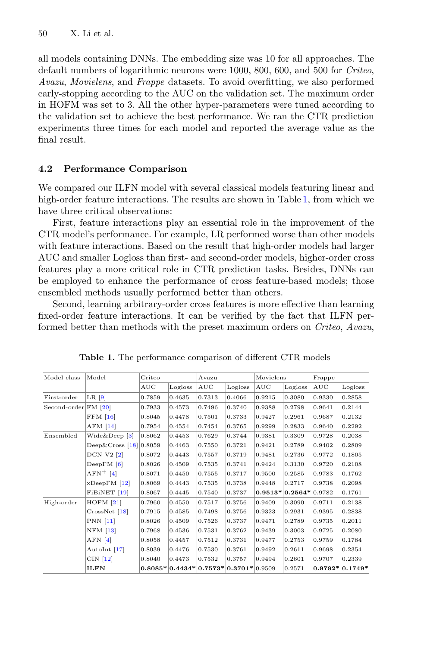all models containing DNNs. The embedding size was 10 for all approaches. The default numbers of logarithmic neurons were 1000, 800, 600, and 500 for *Criteo*, *Avazu*, *Movielens*, and *Frappe* datasets. To avoid overfitting, we also performed early-stopping according to the AUC on the validation set. The maximum order in HOFM was set to 3. All the other hyper-parameters were tuned according to the validation set to achieve the best performance. We ran the CTR prediction experiments three times for each model and reported the average value as the final result.

## **4.2 Performance Comparison**

We compared our ILFN model with several classical models featuring linear and high-order feature interactions. The results are shown in Table [1,](#page-8-0) from which we have three critical observations:

First, feature interactions play an essential role in the improvement of the CTR model's performance. For example, LR performed worse than other models with feature interactions. Based on the result that high-order models had larger AUC and smaller Logloss than first- and second-order models, higher-order cross features play a more critical role in CTR prediction tasks. Besides, DNNs can be employed to enhance the performance of cross feature-based models; those ensembled methods usually performed better than others.

Second, learning arbitrary-order cross features is more effective than learning fixed-order feature interactions. It can be verified by the fact that ILFN performed better than methods with the preset maximum orders on *Criteo*, *Avazu*,

<span id="page-8-0"></span>

| Model class            | Model                      | Criteo |         | Avazu                                    |         | Movielens |                   | Frappe |                   |
|------------------------|----------------------------|--------|---------|------------------------------------------|---------|-----------|-------------------|--------|-------------------|
|                        |                            | AUC    | Logloss | AUC                                      | Logloss | AUC       | Logloss           | AUC    | Logloss           |
| First-order            | $LR$ [9]                   | 0.7859 | 0.4635  | 0.7313                                   | 0.4066  | 0.9215    | 0.3080            | 0.9330 | 0.2858            |
| Second-order $ FM 20 $ |                            | 0.7933 | 0.4573  | 0.7496                                   | 0.3740  | 0.9388    | 0.2798            | 0.9641 | 0.2144            |
|                        | $FFM$ [16]                 | 0.8045 | 0.4478  | 0.7501                                   | 0.3733  | 0.9427    | 0.2961            | 0.9687 | 0.2132            |
|                        | $AFM$ [14]                 | 0.7954 | 0.4554  | 0.7454                                   | 0.3765  | 0.9299    | 0.2833            | 0.9640 | 0.2292            |
| Ensembled              | Wide&Deep <sup>[3]</sup>   | 0.8062 | 0.4453  | 0.7629                                   | 0.3744  | 0.9381    | 0.3309            | 0.9728 | 0.2038            |
|                        | Deep & Cross $[18]$ 0.8059 |        | 0.4463  | 0.7550                                   | 0.3721  | 0.9421    | 0.2789            | 0.9402 | 0.2809            |
|                        | DCN V2 [2]                 | 0.8072 | 0.4443  | 0.7557                                   | 0.3719  | 0.9481    | 0.2736            | 0.9772 | 0.1805            |
|                        | Deep $FM$ [6]              | 0.8026 | 0.4509  | 0.7535                                   | 0.3741  | 0.9424    | 0.3130            | 0.9720 | 0.2108            |
|                        | $AFN^{+}$ [4]              | 0.8071 | 0.4450  | 0.7555                                   | 0.3717  | 0.9500    | 0.2585            | 0.9783 | 0.1762            |
|                        | $xDeepFM$ [12]             | 0.8069 | 0.4443  | 0.7535                                   | 0.3738  | 0.9448    | 0.2717            | 0.9738 | 0.2098            |
|                        | FiBiNET [19]               | 0.8067 | 0.4445  | 0.7540                                   | 0.3737  |           | $0.9513* 0.2564*$ | 0.9782 | 0.1761            |
| High-order             | $HOFM$ [21]                | 0.7960 | 0.4550  | 0.7517                                   | 0.3756  | 0.9409    | 0.3090            | 0.9711 | 0.2138            |
|                        | $CrossNet$ [18]            | 0.7915 | 0.4585  | 0.7498                                   | 0.3756  | 0.9323    | 0.2931            | 0.9395 | 0.2838            |
|                        | <b>PNN</b> [11]            | 0.8026 | 0.4509  | 0.7526                                   | 0.3737  | 0.9471    | 0.2789            | 0.9735 | 0.2011            |
|                        | $NFM$ [13]                 | 0.7968 | 0.4536  | 0.7531                                   | 0.3762  | 0.9439    | 0.3003            | 0.9725 | 0.2080            |
|                        | AFN $[4]$                  | 0.8058 | 0.4457  | 0.7512                                   | 0.3731  | 0.9477    | 0.2753            | 0.9759 | 0.1784            |
|                        | AutoInt [17]               | 0.8039 | 0.4476  | 0.7530                                   | 0.3761  | 0.9492    | 0.2611            | 0.9698 | 0.2354            |
|                        | $CIN$ [12]                 | 0.8040 | 0.4473  | 0.7532                                   | 0.3757  | 0.9494    | 0.2601            | 0.9707 | 0.2339            |
|                        | <b>ILFN</b>                |        |         | $0.8085* 0.4434* 0.7573* 0.3701* 0.9509$ |         |           | 0.2571            |        | $0.9792* 0.1749*$ |

**Table 1.** The performance comparison of different CTR models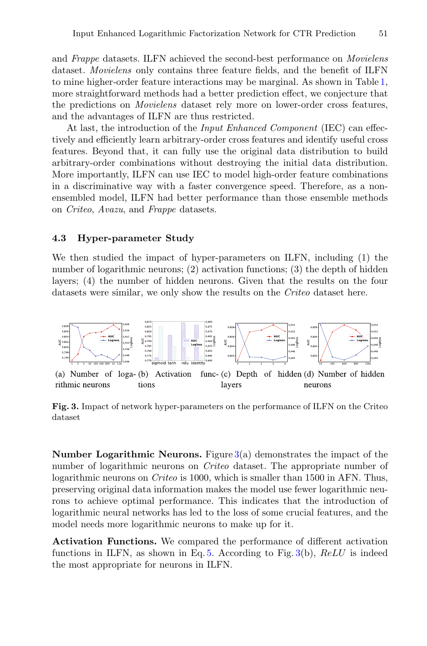and *Frappe* datasets. ILFN achieved the second-best performance on *Movielens* dataset. *Movielens* only contains three feature fields, and the benefit of ILFN to mine higher-order feature interactions may be marginal. As shown in Table [1,](#page-8-0) more straightforward methods had a better prediction effect, we conjecture that the predictions on *Movielens* dataset rely more on lower-order cross features, and the advantages of ILFN are thus restricted.

At last, the introduction of the *Input Enhanced Component* (IEC) can effectively and efficiently learn arbitrary-order cross features and identify useful cross features. Beyond that, it can fully use the original data distribution to build arbitrary-order combinations without destroying the initial data distribution. More importantly, ILFN can use IEC to model high-order feature combinations in a discriminative way with a faster convergence speed. Therefore, as a nonensembled model, ILFN had better performance than those ensemble methods on *Criteo*, *Avazu*, and *Frappe* datasets.

#### **4.3 Hyper-parameter Study**

We then studied the impact of hyper-parameters on ILFN, including (1) the number of logarithmic neurons; (2) activation functions; (3) the depth of hidden layers; (4) the number of hidden neurons. Given that the results on the four datasets were similar, we only show the results on the *Criteo* dataset here.



<span id="page-9-0"></span>**Fig. 3.** Impact of network hyper-parameters on the performance of ILFN on the Criteo dataset

**Number Logarithmic Neurons.** Figure [3\(](#page-9-0)a) demonstrates the impact of the number of logarithmic neurons on *Criteo* dataset. The appropriate number of logarithmic neurons on *Criteo* is 1000, which is smaller than 1500 in AFN. Thus, preserving original data information makes the model use fewer logarithmic neurons to achieve optimal performance. This indicates that the introduction of logarithmic neural networks has led to the loss of some crucial features, and the model needs more logarithmic neurons to make up for it.

**Activation Functions.** We compared the performance of different activation functions in ILFN, as shown in Eq. [5.](#page-6-0) According to Fig.  $3(b)$  $3(b)$ , ReLU is indeed the most appropriate for neurons in ILFN.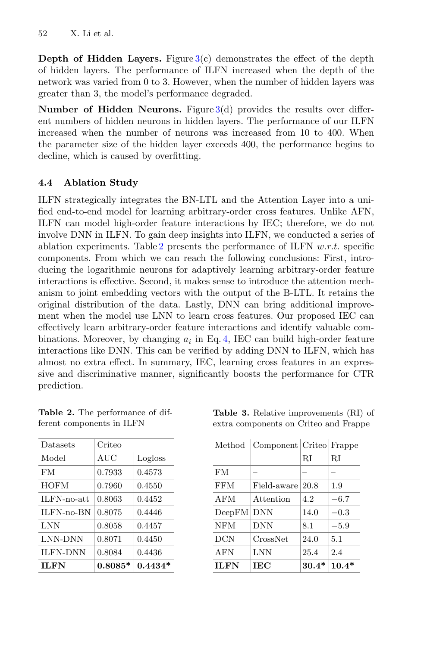**Depth of Hidden Layers.** Figure [3\(](#page-9-0)c) demonstrates the effect of the depth of hidden layers. The performance of ILFN increased when the depth of the network was varied from 0 to 3. However, when the number of hidden layers was greater than 3, the model's performance degraded.

**Number of Hidden Neurons.** Figure [3\(](#page-9-0)d) provides the results over different numbers of hidden neurons in hidden layers. The performance of our ILFN increased when the number of neurons was increased from 10 to 400. When the parameter size of the hidden layer exceeds 400, the performance begins to decline, which is caused by overfitting.

## **4.4 Ablation Study**

ILFN strategically integrates the BN-LTL and the Attention Layer into a unified end-to-end model for learning arbitrary-order cross features. Unlike AFN, ILFN can model high-order feature interactions by IEC; therefore, we do not involve DNN in ILFN. To gain deep insights into ILFN, we conducted a series of ablation experiments. Table [2](#page-10-0) presents the performance of ILFN  $w.r.t.$  specific components. From which we can reach the following conclusions: First, introducing the logarithmic neurons for adaptively learning arbitrary-order feature interactions is effective. Second, it makes sense to introduce the attention mechanism to joint embedding vectors with the output of the B-LTL. It retains the original distribution of the data. Lastly, DNN can bring additional improvement when the model use LNN to learn cross features. Our proposed IEC can effectively learn arbitrary-order feature interactions and identify valuable combinations. Moreover, by changing <sup>a</sup>*<sup>i</sup>* in Eq. [4,](#page-6-1) IEC can build high-order feature interactions like DNN. This can be verified by adding DNN to ILFN, which has almost no extra effect. In summary, IEC, learning cross features in an expressive and discriminative manner, significantly boosts the performance for CTR prediction.

<span id="page-10-0"></span>**Table 2.** The performance of different components in ILFN

| 0.4452<br>0.4446<br>0.4457<br>0.4450<br>0.4436 |
|------------------------------------------------|
|                                                |
|                                                |
|                                                |
|                                                |
|                                                |
| 0.4550                                         |
| 0.4573                                         |
| Logloss                                        |
|                                                |
|                                                |

<span id="page-10-1"></span>**Table 3.** Relative improvements (RI) of extra components on Criteo and Frappe

| Method      | Component   | Criteo  | Frappe  |
|-------------|-------------|---------|---------|
|             |             | RI      | RI      |
| FM          |             |         |         |
| <b>FFM</b>  | Field-aware | 20.8    | 1.9     |
| AFM         | Attention   | 4.2     | $-6.7$  |
| DeepFM      | DNN         | 14.0    | $-0.3$  |
| NFM         | DNN         | 8.1     | $-5.9$  |
| <b>DCN</b>  | CrossNet    | 24.0    | 5.1     |
| <b>AFN</b>  | LNN         | 25.4    | 2.4     |
| <b>ILFN</b> | IEC         | $30.4*$ | $10.4*$ |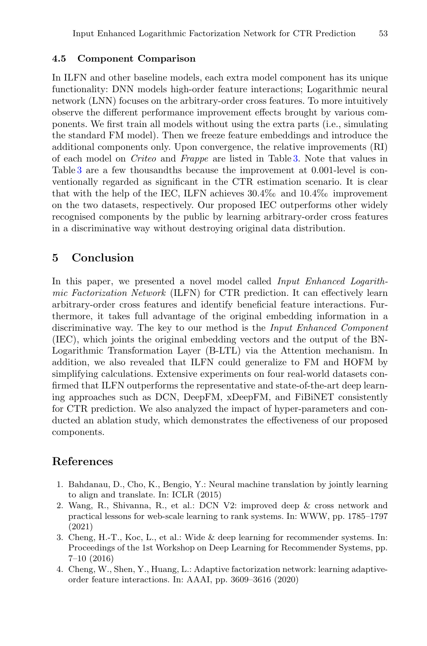#### **4.5 Component Comparison**

In ILFN and other baseline models, each extra model component has its unique functionality: DNN models high-order feature interactions; Logarithmic neural network (LNN) focuses on the arbitrary-order cross features. To more intuitively observe the different performance improvement effects brought by various components. We first train all models without using the extra parts (i.e., simulating the standard FM model). Then we freeze feature embeddings and introduce the additional components only. Upon convergence, the relative improvements (RI) of each model on *Criteo* and *Frappe* are listed in Table [3.](#page-10-1) Note that values in Table [3](#page-10-1) are a few thousandths because the improvement at 0.001-level is conventionally regarded as significant in the CTR estimation scenario. It is clear that with the help of the IEC, ILFN achieves 30.4‰ and 10.4‰ improvement on the two datasets, respectively. Our proposed IEC outperforms other widely recognised components by the public by learning arbitrary-order cross features in a discriminative way without destroying original data distribution.

## **5 Conclusion**

In this paper, we presented a novel model called *Input Enhanced Logarithmic Factorization Network* (ILFN) for CTR prediction. It can effectively learn arbitrary-order cross features and identify beneficial feature interactions. Furthermore, it takes full advantage of the original embedding information in a discriminative way. The key to our method is the *Input Enhanced Component* (IEC), which joints the original embedding vectors and the output of the BN-Logarithmic Transformation Layer (B-LTL) via the Attention mechanism. In addition, we also revealed that ILFN could generalize to FM and HOFM by simplifying calculations. Extensive experiments on four real-world datasets confirmed that ILFN outperforms the representative and state-of-the-art deep learning approaches such as DCN, DeepFM, xDeepFM, and FiBiNET consistently for CTR prediction. We also analyzed the impact of hyper-parameters and conducted an ablation study, which demonstrates the effectiveness of our proposed components.

## **References**

- <span id="page-11-2"></span>1. Bahdanau, D., Cho, K., Bengio, Y.: Neural machine translation by jointly learning to align and translate. In: ICLR (2015)
- <span id="page-11-3"></span>2. Wang, R., Shivanna, R., et al.: DCN V2: improved deep & cross network and practical lessons for web-scale learning to rank systems. In: WWW, pp. 1785–1797 (2021)
- <span id="page-11-0"></span>3. Cheng, H.-T., Koc, L., et al.: Wide & deep learning for recommender systems. In: Proceedings of the 1st Workshop on Deep Learning for Recommender Systems, pp. 7–10 (2016)
- <span id="page-11-1"></span>4. Cheng, W., Shen, Y., Huang, L.: Adaptive factorization network: learning adaptiveorder feature interactions. In: AAAI, pp. 3609–3616 (2020)